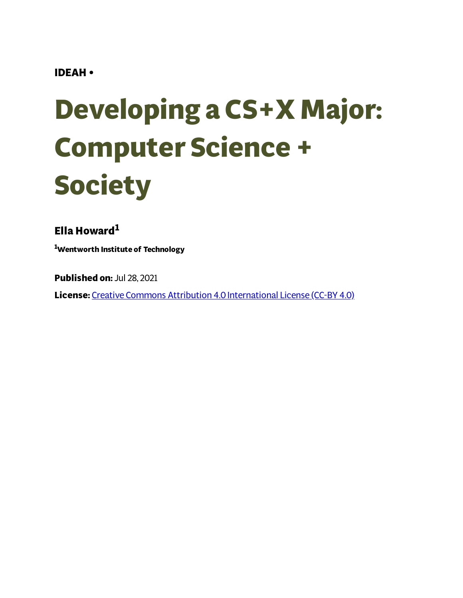#### **IDEAH •**

# **Developing a CS+X Major: Computer Science + Society**

**Ella Howard 1**

**<sup>1</sup>Wentworth Institute of Technology**

**Published on:** Jul 28, 2021

**License:** Creative Commons Attribution 4.0 [International](https://creativecommons.org/licenses/by/4.0/) License (CC-BY 4.0)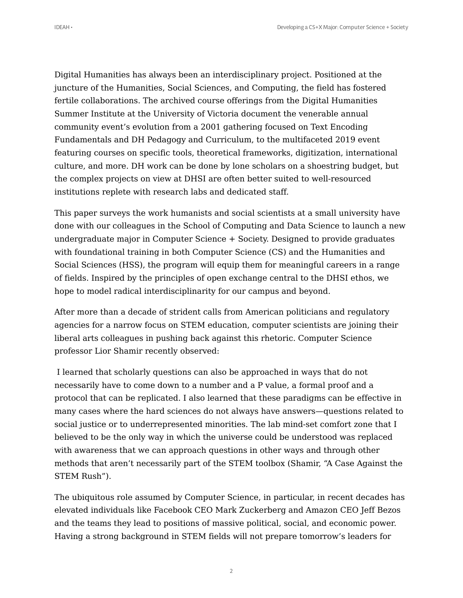Digital Humanities has always been an interdisciplinary project. Positioned at the juncture of the Humanities, Social Sciences, and Computing, the field has fostered fertile collaborations. The archived course offerings from the Digital Humanities Summer Institute at the University of Victoria document the venerable annual community event's evolution from a 2001 gathering focused on Text Encoding Fundamentals and DH Pedagogy and Curriculum, to the multifaceted 2019 event featuring courses on specific tools, theoretical frameworks, digitization, international culture, and more. DH work can be done by lone scholars on a shoestring budget, but the complex projects on view at DHSI are often better suited to well-resourced institutions replete with research labs and dedicated staff.

This paper surveys the work humanists and social scientists at a small university have done with our colleagues in the School of Computing and Data Science to launch a new undergraduate major in Computer Science + Society. Designed to provide graduates with foundational training in both Computer Science (CS) and the Humanities and Social Sciences (HSS), the program will equip them for meaningful careers in a range of fields. Inspired by the principles of open exchange central to the DHSI ethos, we hope to model radical interdisciplinarity for our campus and beyond.

After more than a decade of strident calls from American politicians and regulatory agencies for a narrow focus on STEM education, computer scientists are joining their liberal arts colleagues in pushing back against this rhetoric. Computer Science professor Lior Shamir recently observed:

I learned that scholarly questions can also be approached in ways that do not necessarily have to come down to a number and a P value, a formal proof and a protocol that can be replicated. I also learned that these paradigms can be effective in many cases where the hard sciences do not always have answers—questions related to social justice or to underrepresented minorities. The lab mind-set comfort zone that I believed to be the only way in which the universe could be understood was replaced with awareness that we can approach questions in other ways and through other methods that aren't necessarily part of the STEM toolbox (Shamir, "A Case Against the STEM Rush").

The ubiquitous role assumed by Computer Science, in particular, in recent decades has elevated individuals like Facebook CEO Mark Zuckerberg and Amazon CEO Jeff Bezos and the teams they lead to positions of massive political, social, and economic power. Having a strong background in STEM fields will not prepare tomorrow's leaders for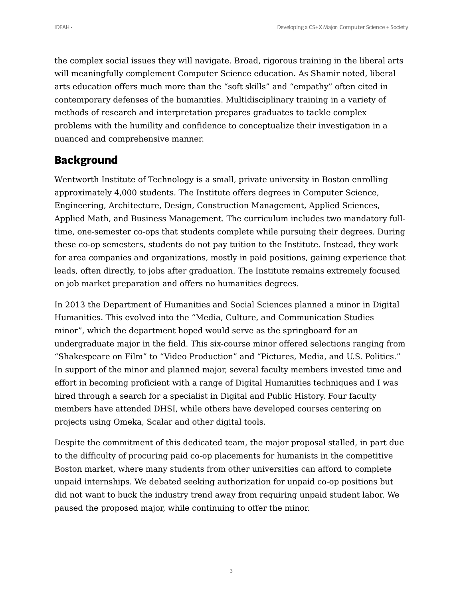the complex social issues they will navigate. Broad, rigorous training in the liberal arts will meaningfully complement Computer Science education. As Shamir noted, liberal arts education offers much more than the "soft skills" and "empathy" often cited in contemporary defenses of the humanities. Multidisciplinary training in a variety of methods of research and interpretation prepares graduates to tackle complex problems with the humility and confidence to conceptualize their investigation in a nuanced and comprehensive manner.

#### **Background**

Wentworth Institute of Technology is a small, private university in Boston enrolling approximately 4,000 students. The Institute offers degrees in Computer Science, Engineering, Architecture, Design, Construction Management, Applied Sciences, Applied Math, and Business Management. The curriculum includes two mandatory fulltime, one-semester co-ops that students complete while pursuing their degrees. During these co-op semesters, students do not pay tuition to the Institute. Instead, they work for area companies and organizations, mostly in paid positions, gaining experience that leads, often directly, to jobs after graduation. The Institute remains extremely focused on job market preparation and offers no humanities degrees.

In 2013 the Department of Humanities and Social Sciences planned a minor in Digital Humanities. This evolved into the "Media, Culture, and Communication Studies minor", which the department hoped would serve as the springboard for an undergraduate major in the field. This six-course minor offered selections ranging from "Shakespeare on Film" to "Video Production" and "Pictures, Media, and U.S. Politics." In support of the minor and planned major, several faculty members invested time and effort in becoming proficient with a range of Digital Humanities techniques and I was hired through a search for a specialist in Digital and Public History. Four faculty members have attended DHSI, while others have developed courses centering on projects using Omeka, Scalar and other digital tools.

Despite the commitment of this dedicated team, the major proposal stalled, in part due to the difficulty of procuring paid co-op placements for humanists in the competitive Boston market, where many students from other universities can afford to complete unpaid internships. We debated seeking authorization for unpaid co-op positions but did not want to buck the industry trend away from requiring unpaid student labor. We paused the proposed major, while continuing to offer the minor.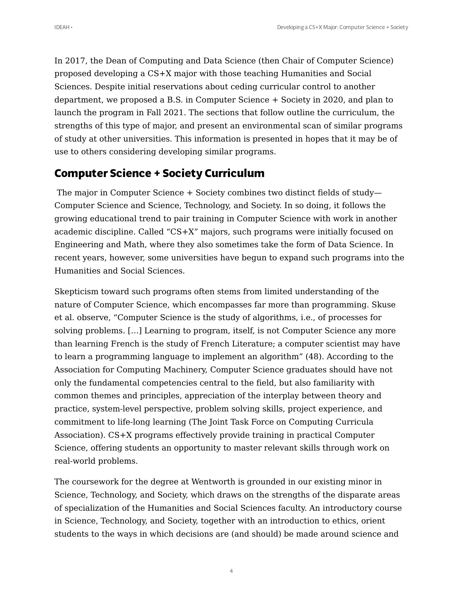In 2017, the Dean of Computing and Data Science (then Chair of Computer Science) proposed developing a CS+X major with those teaching Humanities and Social Sciences. Despite initial reservations about ceding curricular control to another department, we proposed a B.S. in Computer Science + Society in 2020, and plan to launch the program in Fall 2021. The sections that follow outline the curriculum, the strengths of this type of major, and present an environmental scan of similar programs of study at other universities. This information is presented in hopes that it may be of use to others considering developing similar programs.

# **Computer Science + Society Curriculum**

The major in Computer Science + Society combines two distinct fields of study— Computer Science and Science, Technology, and Society. In so doing, it follows the growing educational trend to pair training in Computer Science with work in another academic discipline. Called "CS+X" majors, such programs were initially focused on Engineering and Math, where they also sometimes take the form of Data Science. In recent years, however, some universities have begun to expand such programs into the Humanities and Social Sciences.

Skepticism toward such programs often stems from limited understanding of the nature of Computer Science, which encompasses far more than programming. Skuse et al. observe, "Computer Science is the study of algorithms, i.e., of processes for solving problems. […] Learning to program, itself, is not Computer Science any more than learning French is the study of French Literature; a computer scientist may have to learn a programming language to implement an algorithm" (48). According to the Association for Computing Machinery, Computer Science graduates should have not only the fundamental competencies central to the field, but also familiarity with common themes and principles, appreciation of the interplay between theory and practice, system-level perspective, problem solving skills, project experience, and commitment to life-long learning (The Joint Task Force on Computing Curricula Association). CS+X programs effectively provide training in practical Computer Science, offering students an opportunity to master relevant skills through work on real-world problems.

The coursework for the degree at Wentworth is grounded in our existing minor in Science, Technology, and Society, which draws on the strengths of the disparate areas of specialization of the Humanities and Social Sciences faculty. An introductory course in Science, Technology, and Society, together with an introduction to ethics, orient students to the ways in which decisions are (and should) be made around science and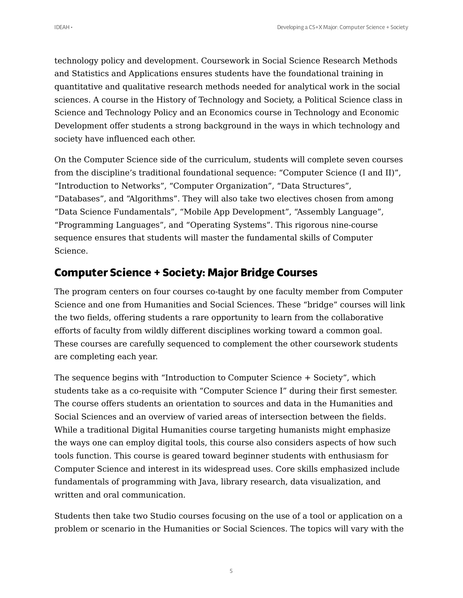technology policy and development. Coursework in Social Science Research Methods and Statistics and Applications ensures students have the foundational training in quantitative and qualitative research methods needed for analytical work in the social sciences. A course in the History of Technology and Society, a Political Science class in Science and Technology Policy and an Economics course in Technology and Economic Development offer students a strong background in the ways in which technology and society have influenced each other.

On the Computer Science side of the curriculum, students will complete seven courses from the discipline's traditional foundational sequence: "Computer Science (I and II)", "Introduction to Networks", "Computer Organization", "Data Structures", "Databases", and "Algorithms". They will also take two electives chosen from among "Data Science Fundamentals", "Mobile App Development", "Assembly Language", "Programming Languages", and "Operating Systems". This rigorous nine-course sequence ensures that students will master the fundamental skills of Computer Science.

## **Computer Science + Society: Major Bridge Courses**

The program centers on four courses co-taught by one faculty member from Computer Science and one from Humanities and Social Sciences. These "bridge" courses will link the two fields, offering students a rare opportunity to learn from the collaborative efforts of faculty from wildly different disciplines working toward a common goal. These courses are carefully sequenced to complement the other coursework students are completing each year.

The sequence begins with "Introduction to Computer Science + Society", which students take as a co-requisite with "Computer Science I" during their first semester. The course offers students an orientation to sources and data in the Humanities and Social Sciences and an overview of varied areas of intersection between the fields. While a traditional Digital Humanities course targeting humanists might emphasize the ways one can employ digital tools, this course also considers aspects of how such tools function. This course is geared toward beginner students with enthusiasm for Computer Science and interest in its widespread uses. Core skills emphasized include fundamentals of programming with Java, library research, data visualization, and written and oral communication.

Students then take two Studio courses focusing on the use of a tool or application on a problem or scenario in the Humanities or Social Sciences. The topics will vary with the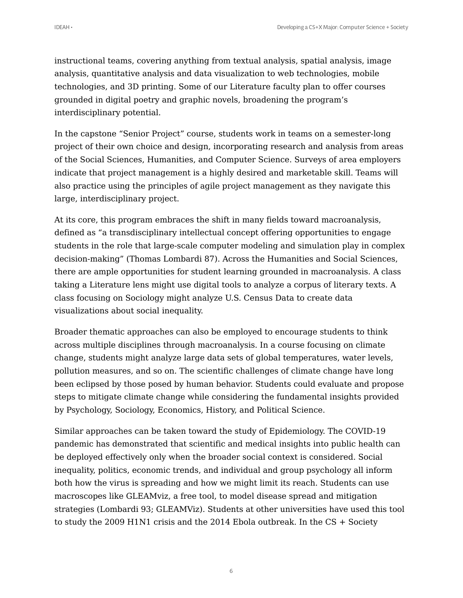instructional teams, covering anything from textual analysis, spatial analysis, image analysis, quantitative analysis and data visualization to web technologies, mobile technologies, and 3D printing. Some of our Literature faculty plan to offer courses grounded in digital poetry and graphic novels, broadening the program's interdisciplinary potential.

In the capstone "Senior Project" course, students work in teams on a semester-long project of their own choice and design, incorporating research and analysis from areas of the Social Sciences, Humanities, and Computer Science. Surveys of area employers indicate that project management is a highly desired and marketable skill. Teams will also practice using the principles of agile project management as they navigate this large, interdisciplinary project.

At its core, this program embraces the shift in many fields toward macroanalysis, defined as "a transdisciplinary intellectual concept offering opportunities to engage students in the role that large-scale computer modeling and simulation play in complex decision-making" (Thomas Lombardi 87). Across the Humanities and Social Sciences, there are ample opportunities for student learning grounded in macroanalysis. A class taking a Literature lens might use digital tools to analyze a corpus of literary texts. A class focusing on Sociology might analyze U.S. Census Data to create data visualizations about social inequality.

Broader thematic approaches can also be employed to encourage students to think across multiple disciplines through macroanalysis. In a course focusing on climate change, students might analyze large data sets of global temperatures, water levels, pollution measures, and so on. The scientific challenges of climate change have long been eclipsed by those posed by human behavior. Students could evaluate and propose steps to mitigate climate change while considering the fundamental insights provided by Psychology, Sociology, Economics, History, and Political Science.

Similar approaches can be taken toward the study of Epidemiology. The COVID-19 pandemic has demonstrated that scientific and medical insights into public health can be deployed effectively only when the broader social context is considered. Social inequality, politics, economic trends, and individual and group psychology all inform both how the virus is spreading and how we might limit its reach. Students can use macroscopes like GLEAMviz, a free tool, to model disease spread and mitigation strategies (Lombardi 93; GLEAMViz). Students at other universities have used this tool to study the 2009 H1N1 crisis and the 2014 Ebola outbreak. In the CS + Society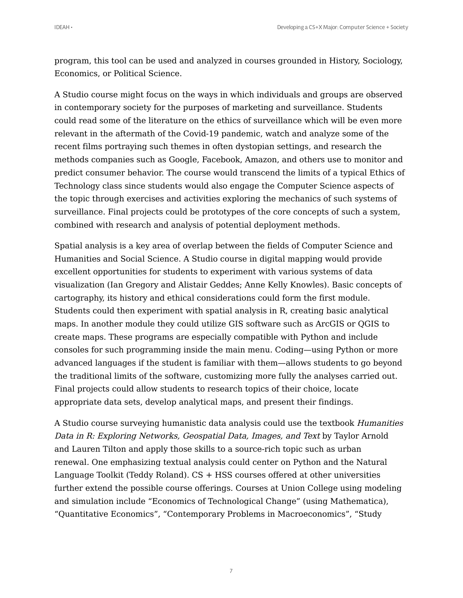program, this tool can be used and analyzed in courses grounded in History, Sociology, Economics, or Political Science.

A Studio course might focus on the ways in which individuals and groups are observed in contemporary society for the purposes of marketing and surveillance. Students could read some of the literature on the ethics of surveillance which will be even more relevant in the aftermath of the Covid-19 pandemic, watch and analyze some of the recent films portraying such themes in often dystopian settings, and research the methods companies such as Google, Facebook, Amazon, and others use to monitor and predict consumer behavior. The course would transcend the limits of a typical Ethics of Technology class since students would also engage the Computer Science aspects of the topic through exercises and activities exploring the mechanics of such systems of surveillance. Final projects could be prototypes of the core concepts of such a system, combined with research and analysis of potential deployment methods.

Spatial analysis is a key area of overlap between the fields of Computer Science and Humanities and Social Science. A Studio course in digital mapping would provide excellent opportunities for students to experiment with various systems of data visualization (Ian Gregory and Alistair Geddes; Anne Kelly Knowles). Basic concepts of cartography, its history and ethical considerations could form the first module. Students could then experiment with spatial analysis in R, creating basic analytical maps. In another module they could utilize GIS software such as ArcGIS or QGIS to create maps. These programs are especially compatible with Python and include consoles for such programming inside the main menu. Coding—using Python or more advanced languages if the student is familiar with them—allows students to go beyond the traditional limits of the software, customizing more fully the analyses carried out. Final projects could allow students to research topics of their choice, locate appropriate data sets, develop analytical maps, and present their findings.

A Studio course surveying humanistic data analysis could use the textbook Humanities Data in R: Exploring Networks, Geospatial Data, Images, and Text by Taylor Arnold and Lauren Tilton and apply those skills to a source-rich topic such as urban renewal. One emphasizing textual analysis could center on Python and the Natural Language Toolkit (Teddy Roland). CS + HSS courses offered at other universities further extend the possible course offerings. Courses at Union College using modeling and simulation include "Economics of Technological Change" (using Mathematica), "Quantitative Economics", "Contemporary Problems in Macroeconomics", "Study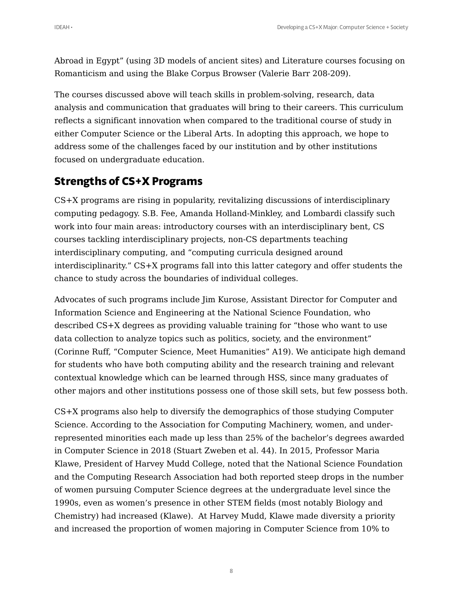Abroad in Egypt" (using 3D models of ancient sites) and Literature courses focusing on Romanticism and using the Blake Corpus Browser (Valerie Barr 208-209).

The courses discussed above will teach skills in problem-solving, research, data analysis and communication that graduates will bring to their careers. This curriculum reflects a significant innovation when compared to the traditional course of study in either Computer Science or the Liberal Arts. In adopting this approach, we hope to address some of the challenges faced by our institution and by other institutions focused on undergraduate education.

# **Strengths of CS+X Programs**

CS+X programs are rising in popularity, revitalizing discussions of interdisciplinary computing pedagogy. S.B. Fee, Amanda Holland-Minkley, and Lombardi classify such work into four main areas: introductory courses with an interdisciplinary bent, CS courses tackling interdisciplinary projects, non-CS departments teaching interdisciplinary computing, and "computing curricula designed around interdisciplinarity." CS+X programs fall into this latter category and offer students the chance to study across the boundaries of individual colleges.

Advocates of such programs include Jim Kurose, Assistant Director for Computer and Information Science and Engineering at the National Science Foundation, who described CS+X degrees as providing valuable training for "those who want to use data collection to analyze topics such as politics, society, and the environment" (Corinne Ruff, "Computer Science, Meet Humanities" A19). We anticipate high demand for students who have both computing ability and the research training and relevant contextual knowledge which can be learned through HSS, since many graduates of other majors and other institutions possess one of those skill sets, but few possess both.

CS+X programs also help to diversify the demographics of those studying Computer Science. According to the Association for Computing Machinery, women, and underrepresented minorities each made up less than 25% of the bachelor's degrees awarded in Computer Science in 2018 (Stuart Zweben et al. 44). In 2015, Professor Maria Klawe, President of Harvey Mudd College, noted that the National Science Foundation and the Computing Research Association had both reported steep drops in the number of women pursuing Computer Science degrees at the undergraduate level since the 1990s, even as women's presence in other STEM fields (most notably Biology and Chemistry) had increased (Klawe). At Harvey Mudd, Klawe made diversity a priority and increased the proportion of women majoring in Computer Science from 10% to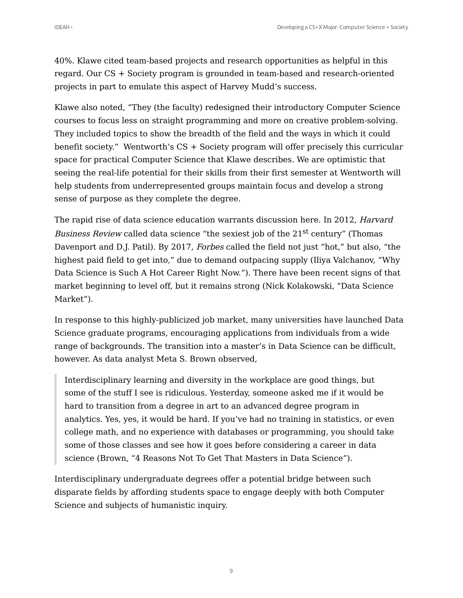40%. Klawe cited team-based projects and research opportunities as helpful in this regard. Our CS + Society program is grounded in team-based and research-oriented projects in part to emulate this aspect of Harvey Mudd's success.

Klawe also noted, "They (the faculty) redesigned their introductory Computer Science courses to focus less on straight programming and more on creative problem-solving. They included topics to show the breadth of the field and the ways in which it could benefit society." Wentworth's CS + Society program will offer precisely this curricular space for practical Computer Science that Klawe describes. We are optimistic that seeing the real-life potential for their skills from their first semester at Wentworth will help students from underrepresented groups maintain focus and develop a strong sense of purpose as they complete the degree.

The rapid rise of data science education warrants discussion here. In 2012, Harvard Business Review called data science "the sexiest job of the 21<sup>st</sup> century" (Thomas Davenport and D.J. Patil). By 2017, Forbes called the field not just "hot," but also, "the highest paid field to get into," due to demand outpacing supply (Iliya Valchanov, "Why Data Science is Such A Hot Career Right Now."). There have been recent signs of that market beginning to level off, but it remains strong (Nick Kolakowski, "Data Science Market").

In response to this highly-publicized job market, many universities have launched Data Science graduate programs, encouraging applications from individuals from a wide range of backgrounds. The transition into a master's in Data Science can be difficult, however. As data analyst Meta S. Brown observed,

Interdisciplinary learning and diversity in the workplace are good things, but some of the stuff I see is ridiculous. Yesterday, someone asked me if it would be hard to transition from a degree in art to an advanced degree program in analytics. Yes, yes, it would be hard. If you've had no training in statistics, or even college math, and no experience with databases or programming, you should take some of those classes and see how it goes before considering a career in data science (Brown, "4 Reasons Not To Get That Masters in Data Science").

Interdisciplinary undergraduate degrees offer a potential bridge between such disparate fields by affording students space to engage deeply with both Computer Science and subjects of humanistic inquiry.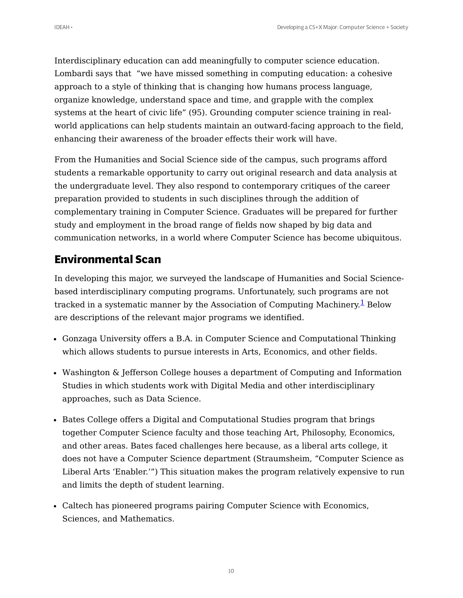Interdisciplinary education can add meaningfully to computer science education. Lombardi says that "we have missed something in computing education: a cohesive approach to a style of thinking that is changing how humans process language, organize knowledge, understand space and time, and grapple with the complex systems at the heart of civic life" (95). Grounding computer science training in realworld applications can help students maintain an outward-facing approach to the field, enhancing their awareness of the broader effects their work will have.

From the Humanities and Social Science side of the campus, such programs afford students a remarkable opportunity to carry out original research and data analysis at the undergraduate level. They also respond to contemporary critiques of the career preparation provided to students in such disciplines through the addition of complementary training in Computer Science. Graduates will be prepared for further study and employment in the broad range of fields now shaped by big data and communication networks, in a world where Computer Science has become ubiquitous.

## **Environmental Scan**

<span id="page-9-0"></span>In developing this major, we surveyed the landscape of Humanities and Social Sciencebased interdisciplinary computing programs. Unfortunately, such programs are not tracked in a systematic manner by the Association of Computing Machinery.<sup>[1](#page-15-0)</sup> Below are descriptions of the relevant major programs we identified.

- Gonzaga University offers a B.A. in Computer Science and Computational Thinking which allows students to pursue interests in Arts, Economics, and other fields.
- Washington & Jefferson College houses a department of Computing and Information Studies in which students work with Digital Media and other interdisciplinary approaches, such as Data Science.
- Bates College offers a Digital and Computational Studies program that brings together Computer Science faculty and those teaching Art, Philosophy, Economics, and other areas. Bates faced challenges here because, as a liberal arts college, it does not have a Computer Science department (Straumsheim, "Computer Science as Liberal Arts 'Enabler.'") This situation makes the program relatively expensive to run and limits the depth of student learning.
- Caltech has pioneered programs pairing Computer Science with Economics, Sciences, and Mathematics.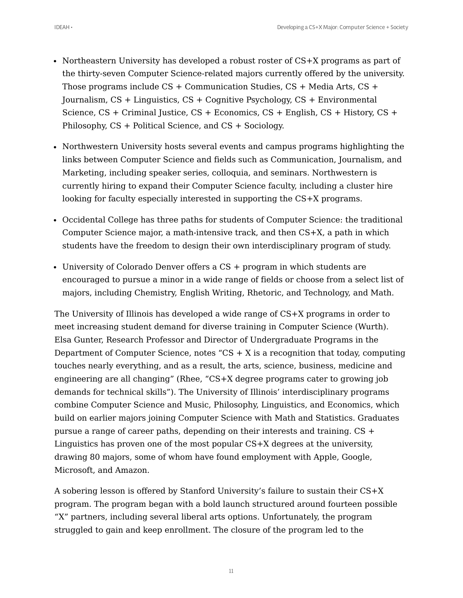- 
- Northeastern University has developed a robust roster of CS+X programs as part of the thirty-seven Computer Science-related majors currently offered by the university. Those programs include CS + Communication Studies, CS + Media Arts, CS + Journalism, CS + Linguistics, CS + Cognitive Psychology, CS + Environmental Science, CS + Criminal Justice, CS + Economics, CS + English, CS + History, CS + Philosophy, CS + Political Science, and CS + Sociology.
- Northwestern University hosts several events and campus programs highlighting the links between Computer Science and fields such as Communication, Journalism, and Marketing, including speaker series, colloquia, and seminars. Northwestern is currently hiring to expand their Computer Science faculty, including a cluster hire looking for faculty especially interested in supporting the CS+X programs.
- Occidental College has three paths for students of Computer Science: the traditional Computer Science major, a math-intensive track, and then CS+X, a path in which students have the freedom to design their own interdisciplinary program of study.
- University of Colorado Denver offers a CS + program in which students are encouraged to pursue a minor in a wide range of fields or choose from a select list of majors, including Chemistry, English Writing, Rhetoric, and Technology, and Math.

The University of Illinois has developed a wide range of CS+X programs in order to meet increasing student demand for diverse training in Computer Science (Wurth). Elsa Gunter, Research Professor and Director of Undergraduate Programs in the Department of Computer Science, notes "CS + X is a recognition that today, computing touches nearly everything, and as a result, the arts, science, business, medicine and engineering are all changing" (Rhee, "CS+X degree programs cater to growing job demands for technical skills"). The University of Illinois' interdisciplinary programs combine Computer Science and Music, Philosophy, Linguistics, and Economics, which build on earlier majors joining Computer Science with Math and Statistics. Graduates pursue a range of career paths, depending on their interests and training. CS + Linguistics has proven one of the most popular CS+X degrees at the university, drawing 80 majors, some of whom have found employment with Apple, Google, Microsoft, and Amazon.

A sobering lesson is offered by Stanford University's failure to sustain their CS+X program. The program began with a bold launch structured around fourteen possible "X" partners, including several liberal arts options. Unfortunately, the program struggled to gain and keep enrollment. The closure of the program led to the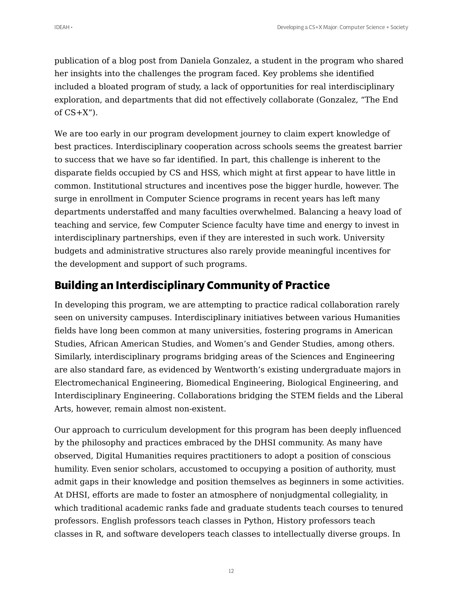publication of a blog post from Daniela Gonzalez, a student in the program who shared her insights into the challenges the program faced. Key problems she identified included a bloated program of study, a lack of opportunities for real interdisciplinary exploration, and departments that did not effectively collaborate (Gonzalez, "The End of  $CS+X''$ ).

We are too early in our program development journey to claim expert knowledge of best practices. Interdisciplinary cooperation across schools seems the greatest barrier to success that we have so far identified. In part, this challenge is inherent to the disparate fields occupied by CS and HSS, which might at first appear to have little in common. Institutional structures and incentives pose the bigger hurdle, however. The surge in enrollment in Computer Science programs in recent years has left many departments understaffed and many faculties overwhelmed. Balancing a heavy load of teaching and service, few Computer Science faculty have time and energy to invest in interdisciplinary partnerships, even if they are interested in such work. University budgets and administrative structures also rarely provide meaningful incentives for the development and support of such programs.

## **Building an Interdisciplinary Community of Practice**

In developing this program, we are attempting to practice radical collaboration rarely seen on university campuses. Interdisciplinary initiatives between various Humanities fields have long been common at many universities, fostering programs in American Studies, African American Studies, and Women's and Gender Studies, among others. Similarly, interdisciplinary programs bridging areas of the Sciences and Engineering are also standard fare, as evidenced by Wentworth's existing undergraduate majors in Electromechanical Engineering, Biomedical Engineering, Biological Engineering, and Interdisciplinary Engineering. Collaborations bridging the STEM fields and the Liberal Arts, however, remain almost non-existent.

Our approach to curriculum development for this program has been deeply influenced by the philosophy and practices embraced by the DHSI community. As many have observed, Digital Humanities requires practitioners to adopt a position of conscious humility. Even senior scholars, accustomed to occupying a position of authority, must admit gaps in their knowledge and position themselves as beginners in some activities. At DHSI, efforts are made to foster an atmosphere of nonjudgmental collegiality, in which traditional academic ranks fade and graduate students teach courses to tenured professors. English professors teach classes in Python, History professors teach classes in R, and software developers teach classes to intellectually diverse groups. In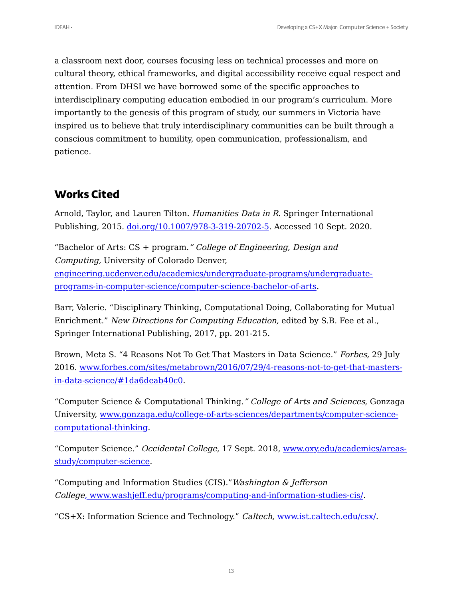a classroom next door, courses focusing less on technical processes and more on cultural theory, ethical frameworks, and digital accessibility receive equal respect and attention. From DHSI we have borrowed some of the specific approaches to interdisciplinary computing education embodied in our program's curriculum. More importantly to the genesis of this program of study, our summers in Victoria have inspired us to believe that truly interdisciplinary communities can be built through a conscious commitment to humility, open communication, professionalism, and patience.

# **Works Cited**

Arnold, Taylor, and Lauren Tilton. Humanities Data in R. Springer International Publishing, 2015. [doi.org/10.1007/978-3-319-20702-5](https://doi.org/10.1007/978-3-319-20702-5). Accessed 10 Sept. 2020.

"Bachelor of Arts:  $CS + program$ " College of Engineering, Design and Computing, University of Colorado Denver, [engineering.ucdenver.edu/academics/undergraduate-programs/undergraduate](https://engineering.ucdenver.edu/academics/undergraduate-programs/undergraduate-programs-in-computer-science/computer-science-bachelor-of-arts)programs-in-computer-science/computer-science-bachelor-of-arts.

Barr, Valerie. "Disciplinary Thinking, Computational Doing, Collaborating for Mutual Enrichment." New Directions for Computing Education, edited by S.B. Fee et al., Springer International Publishing, 2017, pp. 201-215.

Brown, Meta S. "4 Reasons Not To Get That Masters in Data Science." Forbes, 29 July 2016. [www.forbes.com/sites/metabrown/2016/07/29/4-reasons-not-to-get-that-masters](https://www.forbes.com/sites/metabrown/2016/07/29/4-reasons-not-to-get-that-masters-in-data-science/#1da6deab40c0)in-data-science/#1da6deab40c0.

"Computer Science & Computational Thinking." College of Arts and Sciences, Gonzaga University, [www.gonzaga.edu/college-of-arts-sciences/departments/computer-science](https://www.gonzaga.edu/college-of-arts-sciences/departments/computer-science-computational-thinking)computational-thinking.

"Computer Science." Occidental College, 17 Sept. 2018, [www.oxy.edu/academics/areas](https://www.oxy.edu/academics/areas-study/computer-science)study/computer-science.

"Computing and Information Studies (CIS)."Washington & Jefferson Colleg[e,](https://.www.washjeff.edu/programs/computing-and-information-studies-cis/) [www.washjeff.edu/programs/computing-and-information-studies-cis/.](https://.www.washjeff.edu/programs/computing-and-information-studies-cis/)

"CS+X: Information Science and Technology." Caltech, [www.ist.caltech.edu/csx/](https://www.ist.caltech.edu/csx/).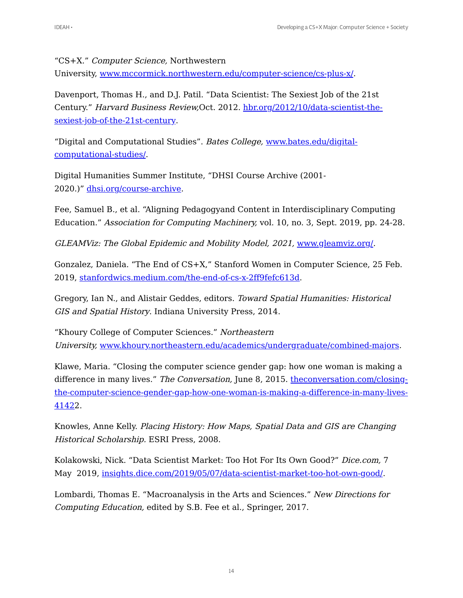"CS+X." Computer Science, Northwestern

University, [www.mccormick.northwestern.edu/computer-science/cs-plus-x/](https://www.mccormick.northwestern.edu/computer-science/cs-plus-x/).

Davenport, Thomas H., and D.J. Patil. "Data Scientist: The Sexiest Job of the 21st Century." Harvard Business Review,Oct. 2012. [hbr.org/2012/10/data-scientist-the](https://hbr.org/2012/10/data-scientist-the-sexiest-job-of-the-21st-century)sexiest-job-of-the-21st-century.

"Digital and Computational Studies". Bates College, www.bates.edu/digital[computational-studies/.](https://www.bates.edu/digital-computational-studies/)

Digital Humanities Summer Institute, "DHSI Course Archive (2001- 2020.)" [dhsi.org/course-archive](https://dhsi.org/course-archive).

Fee, Samuel B., et al. "Aligning Pedagogyand Content in Interdisciplinary Computing Education." Association for Computing Machinery, vol. 10, no. 3, Sept. 2019, pp. 24-28.

GLEAMViz: The Global Epidemic and Mobility Model, 2021, www.qleamviz.org.

Gonzalez, Daniela. "The End of CS+X," Stanford Women in Computer Science, 25 Feb. 2019, [stanfordwics.medium.com/the-end-of-cs-x-2ff9fefc613d](https://stanfordwics.medium.com/the-end-of-cs-x-2ff9fefc613d).

Gregory, Ian N., and Alistair Geddes, editors. Toward Spatial Humanities: Historical GIS and Spatial History. Indiana University Press, 2014.

"Khoury College of Computer Sciences." Northeastern University, [www.khoury.northeastern.edu/academics/undergraduate/combined-majors](https://www.khoury.northeastern.edu/academics/undergraduate/combined-majors).

Klawe, Maria. "Closing the computer science gender gap: how one woman is making a difference in many lives." The Conversation, June 8, 2015. the conversation.com/closing[the-computer-science-gender-gap-how-one-woman-is-making-a-difference-in-many-lives-](https://theconversation.com/closing-the-computer-science-gender-gap-how-one-woman-is-making-a-difference-in-many-lives-4142)41422.

Knowles, Anne Kelly. Placing History: How Maps, Spatial Data and GIS are Changing Historical Scholarship. ESRI Press, 2008.

Kolakowski, Nick. "Data Scientist Market: Too Hot For Its Own Good?" Dice.com, 7 May 2019, [insights.dice.com/2019/05/07/data-scientist-market-too-hot-own-good/](https://insights.dice.com/2019/05/07/data-scientist-market-too-hot-own-good/).

Lombardi, Thomas E. "Macroanalysis in the Arts and Sciences." New Directions for Computing Education, edited by S.B. Fee et al., Springer, 2017.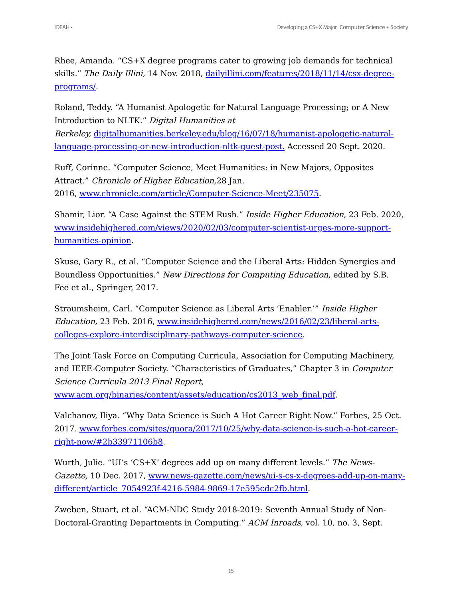Rhee, Amanda. "CS+X degree programs cater to growing job demands for technical skills." The Daily Illini, 14 Nov. 2018, [dailyillini.com/features/2018/11/14/csx-degree](https://dailyillini.com/features/2018/11/14/csx-degree-programs/)programs/.

Roland, Teddy. "A Humanist Apologetic for Natural Language Processing; or A New Introduction to NLTK." Digital Humanities at Berkeley, [digitalhumanities.berkeley.edu/blog/16/07/18/humanist-apologetic-natural](https://digitalhumanities.berkeley.edu/blog/16/07/18/humanist-apologetic-natural-language-processing-or-new-introduction-nltk-guest-post)language-processing-or-new-introduction-nltk-guest-post. Accessed 20 Sept. 2020.

Ruff, Corinne. "Computer Science, Meet Humanities: in New Majors, Opposites Attract." Chronicle of Higher Education,28 Jan. 2016, [www.chronicle.com/article/Computer-Science-Meet/235075.](https://www.chronicle.com/article/Computer-Science-Meet/235075)

Shamir, Lior. "A Case Against the STEM Rush." Inside Higher Education, 23 Feb. 2020, [www.insidehighered.com/views/2020/02/03/computer-scientist-urges-more-support](https://www.insidehighered.com/views/2020/02/03/computer-scientist-urges-more-support-humanities-opinion)humanities-opinion.

Skuse, Gary R., et al. "Computer Science and the Liberal Arts: Hidden Synergies and Boundless Opportunities." New Directions for Computing Education, edited by S.B. Fee et al., Springer, 2017.

Straumsheim, Carl. "Computer Science as Liberal Arts 'Enabler.'" Inside Higher Education, 23 Feb. 2016, www.insidehighered.com/news/2016/02/23/liberal-arts[colleges-explore-interdisciplinary-pathways-computer-science.](https://www.insidehighered.com/news/2016/02/23/liberal-arts-colleges-explore-interdisciplinary-pathways-computer-science)

The Joint Task Force on Computing Curricula, Association for Computing Machinery, and IEEE-Computer Society. "Characteristics of Graduates," Chapter 3 in Computer Science Curricula 2013 Final Report,

[www.acm.org/binaries/content/assets/education/cs2013\\_web\\_final.pdf.](https://www.acm.org/binaries/content/assets/education/cs2013_web_final.pdf)

Valchanov, Iliya. "Why Data Science is Such A Hot Career Right Now." Forbes, 25 Oct. 2017. [www.forbes.com/sites/quora/2017/10/25/why-data-science-is-such-a-hot-career](https://www.forbes.com/sites/quora/2017/10/25/why-data-science-is-such-a-hot-career-right-now/#2b33971106b8)right-now/#2b33971106b8.

Wurth, Julie. "UI's 'CS+X' degrees add up on many different levels." The News-Gazette, 10 Dec. 2017, [www.news-gazette.com/news/ui-s-cs-x-degrees-add-up-on-many](https://www.news-gazette.com/news/ui-s-cs-x-degrees-add-up-on-many-different/article_7054923f-4216-5984-9869-17e595cdc2fb.html)different/article\_7054923f-4216-5984-9869-17e595cdc2fb.html.

Zweben, Stuart, et al. "ACM-NDC Study 2018-2019: Seventh Annual Study of Non-Doctoral-Granting Departments in Computing." ACM Inroads, vol. 10, no. 3, Sept.